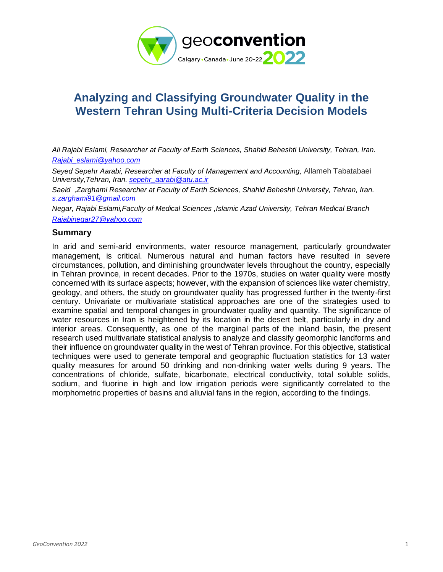

# **Analyzing and Classifying Groundwater Quality in the Western Tehran Using Multi-Criteria Decision Models**

*Ali Rajabi Eslami, Researcher at Faculty of Earth Sciences, Shahid Beheshti University, Tehran, Iran. [Rajabi\\_eslami@yahoo.com](mailto:Rajabi_eslami@yahoo.com)*

*Seyed Sepehr Aarabi, Researcher at Faculty of Management and Accounting,* Allameh Tabatabaei *University,Tehran, Iran. [sepehr\\_aarabi@atu.ac.ir](mailto:sepehr_aarabi@atu.ac.ir)*

*Saeid ,Zarghami Researcher at Faculty of Earth Sciences, Shahid Beheshti University, Tehran, Iran. [s.zarghami91@gmail.com](mailto:s.zarghami91@gmail.com)*

*Negar, Rajabi Eslami,Faculty of Medical Sciences ,Islamic Azad University, Tehran Medical Branch [Rajabinegar27@yahoo.com](mailto:Rajabinegar27@yahoo.com)*

### **Summary**

In arid and semi-arid environments, water resource management, particularly groundwater management, is critical. Numerous natural and human factors have resulted in severe circumstances, pollution, and diminishing groundwater levels throughout the country, especially in Tehran province, in recent decades. Prior to the 1970s, studies on water quality were mostly concerned with its surface aspects; however, with the expansion of sciences like water chemistry, geology, and others, the study on groundwater quality has progressed further in the twenty-first century. Univariate or multivariate statistical approaches are one of the strategies used to examine spatial and temporal changes in groundwater quality and quantity. The significance of water resources in Iran is heightened by its location in the desert belt, particularly in dry and interior areas. Consequently, as one of the marginal parts of the inland basin, the present research used multivariate statistical analysis to analyze and classify geomorphic landforms and their influence on groundwater quality in the west of Tehran province. For this objective, statistical techniques were used to generate temporal and geographic fluctuation statistics for 13 water quality measures for around 50 drinking and non-drinking water wells during 9 years. The concentrations of chloride, sulfate, bicarbonate, electrical conductivity, total soluble solids, sodium, and fluorine in high and low irrigation periods were significantly correlated to the morphometric properties of basins and alluvial fans in the region, according to the findings.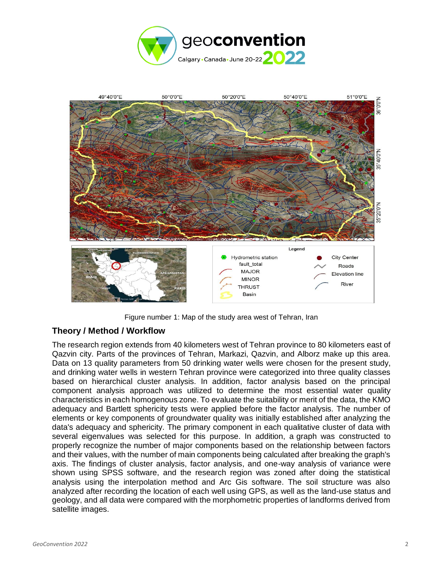



Figure number 1: Map of the study area west of Tehran, Iran

# **Theory / Method / Workflow**

The research region extends from 40 kilometers west of Tehran province to 80 kilometers east of Qazvin city. Parts of the provinces of Tehran, Markazi, Qazvin, and Alborz make up this area. Data on 13 quality parameters from 50 drinking water wells were chosen for the present study, and drinking water wells in western Tehran province were categorized into three quality classes based on hierarchical cluster analysis. In addition, factor analysis based on the principal component analysis approach was utilized to determine the most essential water quality characteristics in each homogenous zone. To evaluate the suitability or merit of the data, the KMO adequacy and Bartlett sphericity tests were applied before the factor analysis. The number of elements or key components of groundwater quality was initially established after analyzing the data's adequacy and sphericity. The primary component in each qualitative cluster of data with several eigenvalues was selected for this purpose. In addition, a graph was constructed to properly recognize the number of major components based on the relationship between factors and their values, with the number of main components being calculated after breaking the graph's axis. The findings of cluster analysis, factor analysis, and one-way analysis of variance were shown using SPSS software, and the research region was zoned after doing the statistical analysis using the interpolation method and Arc Gis software. The soil structure was also analyzed after recording the location of each well using GPS, as well as the land-use status and geology, and all data were compared with the morphometric properties of landforms derived from satellite images.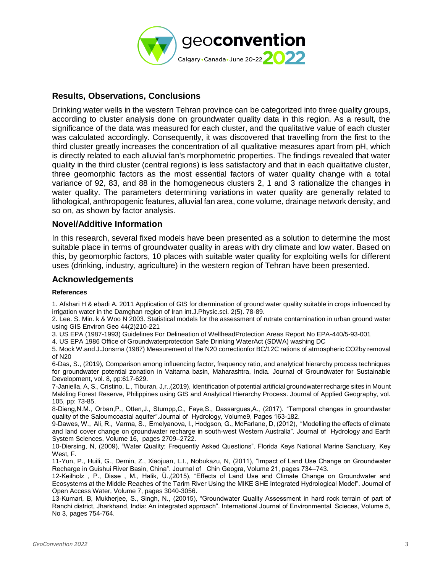

## **Results, Observations, Conclusions**

Drinking water wells in the western Tehran province can be categorized into three quality groups, according to cluster analysis done on groundwater quality data in this region. As a result, the significance of the data was measured for each cluster, and the qualitative value of each cluster was calculated accordingly. Consequently, it was discovered that travelling from the first to the third cluster greatly increases the concentration of all qualitative measures apart from pH, which is directly related to each alluvial fan's morphometric properties. The findings revealed that water quality in the third cluster (central regions) is less satisfactory and that in each qualitative cluster, three geomorphic factors as the most essential factors of water quality change with a total variance of 92, 83, and 88 in the homogeneous clusters 2, 1 and 3 rationalize the changes in water quality. The parameters determining variations in water quality are generally related to lithological, anthropogenic features, alluvial fan area, cone volume, drainage network density, and so on, as shown by factor analysis.

#### **Novel/Additive Information**

In this research, several fixed models have been presented as a solution to determine the most suitable place in terms of groundwater quality in areas with dry climate and low water. Based on this, by geomorphic factors, 10 places with suitable water quality for exploiting wells for different uses (drinking, industry, agriculture) in the western region of Tehran have been presented.

#### **Acknowledgements**

#### **References**

1. Afshari H & ebadi A. 2011 Application of GIS for dtermination of ground water quality suitable in crops influenced by irrigation water in the Damghan region of Iran int.J.Physic.sci. 2(5). 78-89.

2. Lee. S. Min. k & Woo N 2003. Statistical models for the assessment of rutrate contarnination in urban ground water using GIS Environ Geo 44(2)210-221

3. US EPA (1987-1993) Guidelines For Delineation of WellheadProtection Areas Report No EPA-440/5-93-001

4. US EPA 1986 Office of Groundwaterprotection Safe Drinking WaterAct (SDWA) washing DC

5. Mock W.and J.Jonsrna (1987) Measurement of the N20 correctionfor BC/12C rations of atrnospheric CO2by removal of N20

6-Das, S., (2019), Comparison among influencing factor, frequency ratio, and analytical hierarchy process techniques for groundwater potential zonation in Vaitarna basin, Maharashtra, India. Journal of Groundwater for Sustainable Development, vol. 8, pp:617-629.

7-Janiella, A, S., Cristino, L., Tiburan, J,r.,(2019), Identification of potential artificial groundwater recharge sites in Mount Makiling Forest Reserve, Philippines using GIS and Analytical Hierarchy Process. Journal of Applied Geography, vol. 105, pp: 73-85.

8-Dieng,N.M., Orban,P., Otten,J., Stumpp,C., Faye,S., Dassargues,A., (2017). "Temporal changes in groundwater quality of the Saloumcoastal aquifer".Journal of Hydrology, Volume9, Pages 163-182.

9-Dawes, W., Ali, R., Varma, S., Emelyanova, I., Hodgson, G., McFarlane, D, (2012), "Modelling the effects of climate and land cover change on groundwater recharge in south-west Western Australia". Journal of Hydrology and Earth System Sciences, Volume 16, pages 2709–2722.

10-Diersing, N, (2009), "Water Quality: Frequently Asked Questions". Florida Keys National Marine Sanctuary, Key West, F.

11-Yun, P., Huili, G., Demin, Z., Xiaojuan, L.I., Nobukazu, N, (2011), "Impact of Land Use Change on Groundwater Recharge in Guishui River Basin, China". Journal of Chin Geogra, Volume 21, pages 734–743.

12-Keilholz , P., Disse , M., Halik, Ü.,(2015), "Effects of Land Use and Climate Change on Groundwater and Ecosystems at the Middle Reaches of the Tarim River Using the MIKE SHE Integrated Hydrological Model". Journal of Open Access Water, Volume 7, pages 3040-3056.

13-Kumari, B, Mukherjee, S., Singh, N., (20015), "Groundwater Quality Assessment in hard rock terrain of part of Ranchi district, Jharkhand, India: An integrated approach". International Journal of Environmental Scieces, Volume 5, No 3, pages 754-764.